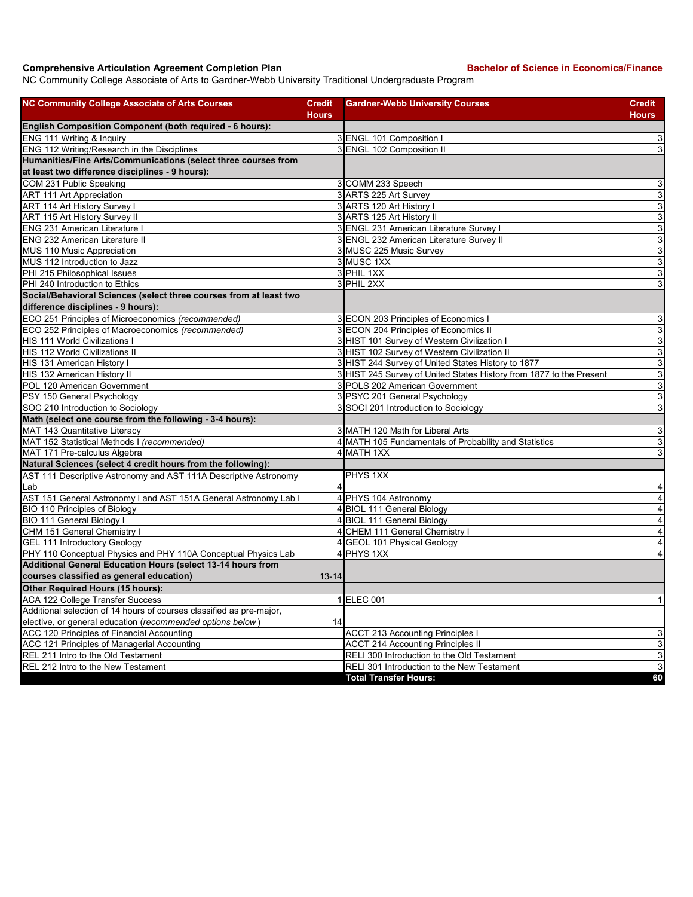## **Comprehensive Articulation Agreement Completion Plan Bachelor of Science in Economics/Finance**

NC Community College Associate of Arts to Gardner-Webb University Traditional Undergraduate Program

| <b>NC Community College Associate of Arts Courses</b>                   | <b>Credit</b> | <b>Gardner-Webb University Courses</b>                              | Credit                    |
|-------------------------------------------------------------------------|---------------|---------------------------------------------------------------------|---------------------------|
|                                                                         | Hours         |                                                                     | <b>Hours</b>              |
| English Composition Component (both required - 6 hours):                |               |                                                                     |                           |
| ENG 111 Writing & Inquiry                                               |               | 3 ENGL 101 Composition I                                            | $\overline{3}$            |
| ENG 112 Writing/Research in the Disciplines                             |               | 3 ENGL 102 Composition II                                           | 3                         |
| Humanities/Fine Arts/Communications (select three courses from          |               |                                                                     |                           |
| at least two difference disciplines - 9 hours):                         |               |                                                                     |                           |
| COM 231 Public Speaking                                                 |               | 3 COMM 233 Speech                                                   | $\mathbf{3}$              |
| <b>ART 111 Art Appreciation</b>                                         |               | 3 ARTS 225 Art Survey                                               | $\overline{3}$            |
| ART 114 Art History Survey I                                            |               | 3 ARTS 120 Art History I                                            | $\overline{3}$            |
| <b>ART 115 Art History Survey II</b>                                    |               | 3 ARTS 125 Art History II                                           | $\overline{3}$            |
| ENG 231 American Literature I                                           |               | 3 ENGL 231 American Literature Survey I                             | $\overline{3}$            |
| <b>ENG 232 American Literature II</b>                                   |               | 3 ENGL 232 American Literature Survey II                            | $\overline{3}$            |
| MUS 110 Music Appreciation                                              |               | 3 MUSC 225 Music Survey                                             | $\overline{3}$            |
| MUS 112 Introduction to Jazz                                            |               | 3 MUSC 1XX                                                          | ω                         |
| PHI 215 Philosophical Issues                                            |               | 3 PHIL 1XX                                                          | $\mathbf{3}$              |
| PHI 240 Introduction to Ethics                                          |               | 3 PHIL 2XX                                                          | $\ensuremath{\mathsf{3}}$ |
| Social/Behavioral Sciences (select three courses from at least two      |               |                                                                     |                           |
| difference disciplines - 9 hours):                                      |               |                                                                     |                           |
| ECO 251 Principles of Microeconomics (recommended)                      |               | 3 ECON 203 Principles of Economics I                                | $\mathsf 3$               |
| ECO 252 Principles of Macroeconomics (recommended)                      |               | 3 ECON 204 Principles of Economics II                               | ω                         |
| HIS 111 World Civilizations I                                           |               | 3 HIST 101 Survey of Western Civilization I                         | $\mathbf{3}$              |
| <b>HIS 112 World Civilizations II</b>                                   |               | 3 HIST 102 Survey of Western Civilization II                        | $\overline{3}$            |
| HIS 131 American History I                                              |               | 3 HIST 244 Survey of United States History to 1877                  | 3                         |
| HIS 132 American History II                                             |               | 3 HIST 245 Survey of United States History from 1877 to the Present | $\overline{3}$            |
| POL 120 American Government                                             |               | 3 POLS 202 American Government                                      | $\mathsf 3$               |
| PSY 150 General Psychology                                              |               | 3 PSYC 201 General Psychology                                       | $\overline{3}$            |
| SOC 210 Introduction to Sociology                                       |               | 3 SOCI 201 Introduction to Sociology                                | 3                         |
| Math (select one course from the following - 3-4 hours):                |               |                                                                     |                           |
| MAT 143 Quantitative Literacy                                           |               | 3 MATH 120 Math for Liberal Arts                                    | $\mathsf 3$               |
| MAT 152 Statistical Methods I (recommended)                             |               | 4 MATH 105 Fundamentals of Probability and Statistics               | ω                         |
| MAT 171 Pre-calculus Algebra                                            |               | 4 MATH 1XX                                                          | 3                         |
| Natural Sciences (select 4 credit hours from the following):            |               |                                                                     |                           |
| AST 111 Descriptive Astronomy and AST 111A Descriptive Astronomy<br>Lab | 4             | PHYS 1XX                                                            | 4                         |
| AST 151 General Astronomy I and AST 151A General Astronomy Lab I        |               | 4 PHYS 104 Astronomy                                                | $\overline{4}$            |
| <b>BIO 110 Principles of Biology</b>                                    |               | 4 BIOL 111 General Biology                                          | $\overline{4}$            |
| BIO 111 General Biology I                                               |               | 4 BIOL 111 General Biology                                          | $\overline{\mathbf{4}}$   |
| CHM 151 General Chemistry I                                             |               | 4 CHEM 111 General Chemistry I                                      | $\overline{4}$            |
| <b>GEL 111 Introductory Geology</b>                                     |               | 4 GEOL 101 Physical Geology                                         | $\overline{4}$            |
| PHY 110 Conceptual Physics and PHY 110A Conceptual Physics Lab          |               | 4 PHYS 1XX                                                          | 4                         |
| <b>Additional General Education Hours (select 13-14 hours from</b>      |               |                                                                     |                           |
| courses classified as general education)                                | $13 - 14$     |                                                                     |                           |
| Other Required Hours (15 hours):                                        |               |                                                                     |                           |
| ACA 122 College Transfer Success                                        |               | 1 ELEC 001                                                          |                           |
| Additional selection of 14 hours of courses classified as pre-major,    |               |                                                                     |                           |
| elective, or general education (recommended options below)              | 14            |                                                                     |                           |
| ACC 120 Principles of Financial Accounting                              |               | <b>ACCT 213 Accounting Principles I</b>                             | $\ensuremath{\mathsf{3}}$ |
| ACC 121 Principles of Managerial Accounting                             |               | <b>ACCT 214 Accounting Principles II</b>                            | $\overline{3}$            |
| REL 211 Intro to the Old Testament                                      |               | RELI 300 Introduction to the Old Testament                          | $\mathbf{3}$              |
| REL 212 Intro to the New Testament                                      |               | RELI 301 Introduction to the New Testament                          | $\overline{3}$            |
|                                                                         |               | <b>Total Transfer Hours:</b>                                        | 60                        |